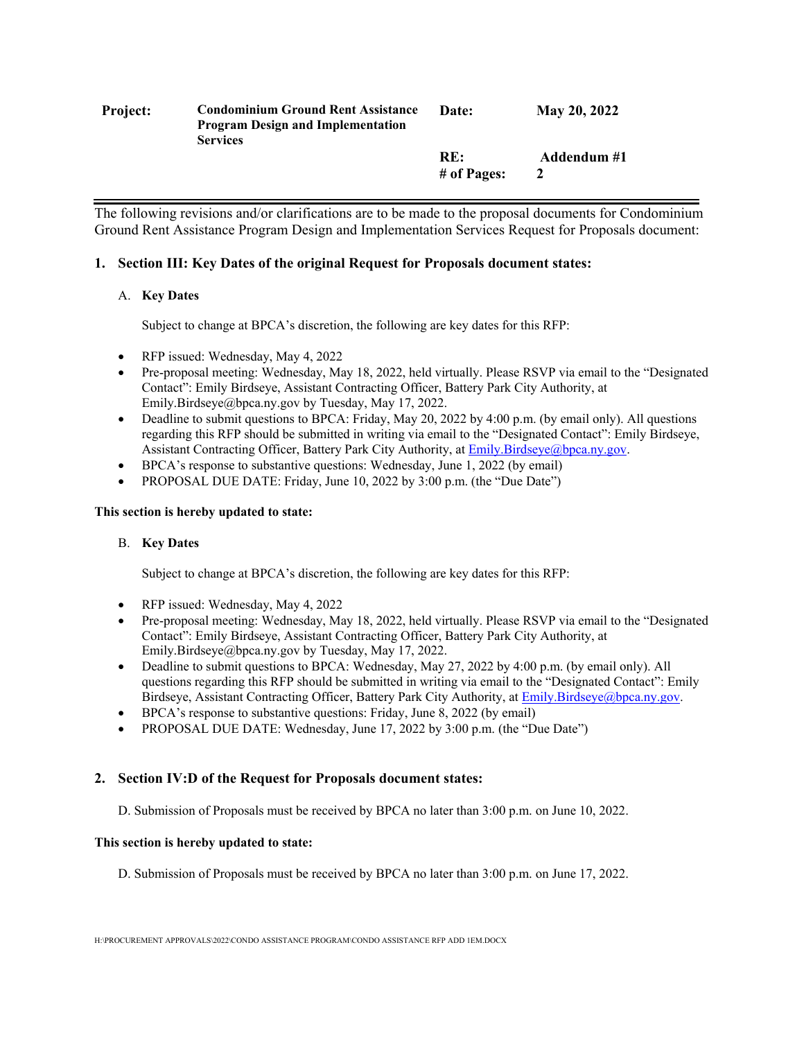| <b>Project:</b> | <b>Condominium Ground Rent Assistance</b><br><b>Program Design and Implementation</b><br><b>Services</b> | Date:              | May 20, 2022 |
|-----------------|----------------------------------------------------------------------------------------------------------|--------------------|--------------|
|                 |                                                                                                          | RE:<br># of Pages: | Addendum #1  |

The following revisions and/or clarifications are to be made to the proposal documents for Condominium Ground Rent Assistance Program Design and Implementation Services Request for Proposals document:

# **1. Section III: Key Dates of the original Request for Proposals document states:**

# A. **Key Dates**

Subject to change at BPCA's discretion, the following are key dates for this RFP:

- RFP issued: Wednesday, May 4, 2022
- Pre-proposal meeting: Wednesday, May 18, 2022, held virtually. Please RSVP via email to the "Designated Contact": Emily Birdseye, Assistant Contracting Officer, Battery Park City Authority, at Emily.Birdseye@bpca.ny.gov by Tuesday, May 17, 2022.
- Deadline to submit questions to BPCA: Friday, May 20, 2022 by 4:00 p.m. (by email only). All questions regarding this RFP should be submitted in writing via email to the "Designated Contact": Emily Birdseye, Assistant Contracting Officer, Battery Park City Authority, at **Emily.Birdseye@bpca.ny.gov.**
- BPCA's response to substantive questions: Wednesday, June 1, 2022 (by email)
- PROPOSAL DUE DATE: Friday, June 10, 2022 by 3:00 p.m. (the "Due Date")

# **This section is hereby updated to state:**

# B. **Key Dates**

Subject to change at BPCA's discretion, the following are key dates for this RFP:

- RFP issued: Wednesday, May 4, 2022
- Pre-proposal meeting: Wednesday, May 18, 2022, held virtually. Please RSVP via email to the "Designated Contact": Emily Birdseye, Assistant Contracting Officer, Battery Park City Authority, at Emily.Birdseye@bpca.ny.gov by Tuesday, May 17, 2022.
- Deadline to submit questions to BPCA: Wednesday, May 27, 2022 by 4:00 p.m. (by email only). All questions regarding this RFP should be submitted in writing via email to the "Designated Contact": Emily Birdseye, Assistant Contracting Officer, Battery Park City Authority, at Emily.Birdseye@bpca.ny.gov.
- BPCA's response to substantive questions: Friday, June 8, 2022 (by email)
- PROPOSAL DUE DATE: Wednesday, June 17, 2022 by 3:00 p.m. (the "Due Date")

# **2. Section IV:D of the Request for Proposals document states:**

D. Submission of Proposals must be received by BPCA no later than 3:00 p.m. on June 10, 2022.

# **This section is hereby updated to state:**

D. Submission of Proposals must be received by BPCA no later than 3:00 p.m. on June 17, 2022.